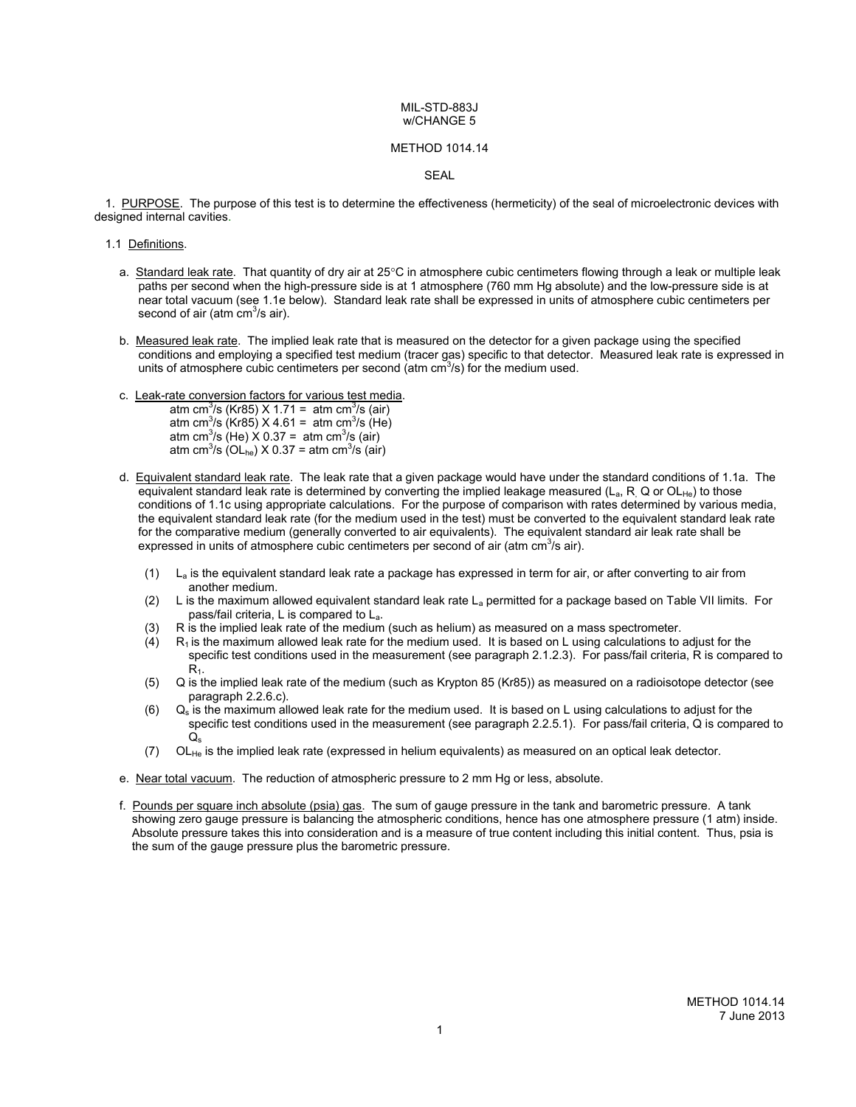#### METHOD 1014.14

SEAL

 1. PURPOSE. The purpose of this test is to determine the effectiveness (hermeticity) of the seal of microelectronic devices with designed internal cavities.

- 1.1 Definitions.
	- a. Standard leak rate. That quantity of dry air at  $25^{\circ}$ C in atmosphere cubic centimeters flowing through a leak or multiple leak paths per second when the high-pressure side is at 1 atmosphere (760 mm Hg absolute) and the low-pressure side is at near total vacuum (see 1.1e below). Standard leak rate shall be expressed in units of atmosphere cubic centimeters per second of air (atm  $\text{cm}^3\text{/s}$  air).
	- b. Measured leak rate. The implied leak rate that is measured on the detector for a given package using the specified conditions and employing a specified test medium (tracer gas) specific to that detector. Measured leak rate is expressed in units of atmosphere cubic centimeters per second (atm  $\text{cm}^3$ /s) for the medium used.
	- c. Leak-rate conversion factors for various test media.
		- atm cm<sup>3</sup>/s (Kr85) X 1.71 = atm cm<sup>3</sup>/s (air) atm cm<sup>3</sup>/s (Kr85) X 4.61 = atm cm<sup>3</sup>/s (He) atm cm<sup>3</sup>/s (He)  $\chi$  0.37 = atm cm<sup>3</sup>/s (air) atm cm<sup>3</sup>/s (OL<sub>he</sub>) X 0.37 = atm cm<sup>3</sup>/s (air)
	- d. Equivalent standard leak rate. The leak rate that a given package would have under the standard conditions of 1.1a. The equivalent standard leak rate is determined by converting the implied leakage measured ( $L_a$ , R, Q or OLHe) to those conditions of 1.1c using appropriate calculations. For the purpose of comparison with rates determined by various media, the equivalent standard leak rate (for the medium used in the test) must be converted to the equivalent standard leak rate for the comparative medium (generally converted to air equivalents). The equivalent standard air leak rate shall be expressed in units of atmosphere cubic centimeters per second of air (atm  $cm<sup>3</sup>/s$  air).
		- $(1)$  L<sub>a</sub> is the equivalent standard leak rate a package has expressed in term for air, or after converting to air from another medium.
		- (2) L is the maximum allowed equivalent standard leak rate  $L_a$  permitted for a package based on Table VII limits. For pass/fail criteria, L is compared to La.
		- (3) R is the implied leak rate of the medium (such as helium) as measured on a mass spectrometer.
		- $(R_1)$  R<sub>1</sub> is the maximum allowed leak rate for the medium used. It is based on L using calculations to adjust for the specific test conditions used in the measurement (see paragraph 2.1.2.3). For pass/fail criteria, R is compared to  $R<sub>1</sub>$ .
		- (5) Q is the implied leak rate of the medium (such as Krypton 85 (Kr85)) as measured on a radioisotope detector (see paragraph 2.2.6.c).
		- $(6)$  Q<sub>s</sub> is the maximum allowed leak rate for the medium used. It is based on L using calculations to adjust for the specific test conditions used in the measurement (see paragraph 2.2.5.1). For pass/fail criteria, Q is compared to  $Q_{\rm s}$
		- (7) OLHe is the implied leak rate (expressed in helium equivalents) as measured on an optical leak detector.
	- e. Near total vacuum. The reduction of atmospheric pressure to 2 mm Hg or less, absolute.
	- f. Pounds per square inch absolute (psia) gas. The sum of gauge pressure in the tank and barometric pressure. A tank showing zero gauge pressure is balancing the atmospheric conditions, hence has one atmosphere pressure (1 atm) inside. Absolute pressure takes this into consideration and is a measure of true content including this initial content. Thus, psia is the sum of the gauge pressure plus the barometric pressure.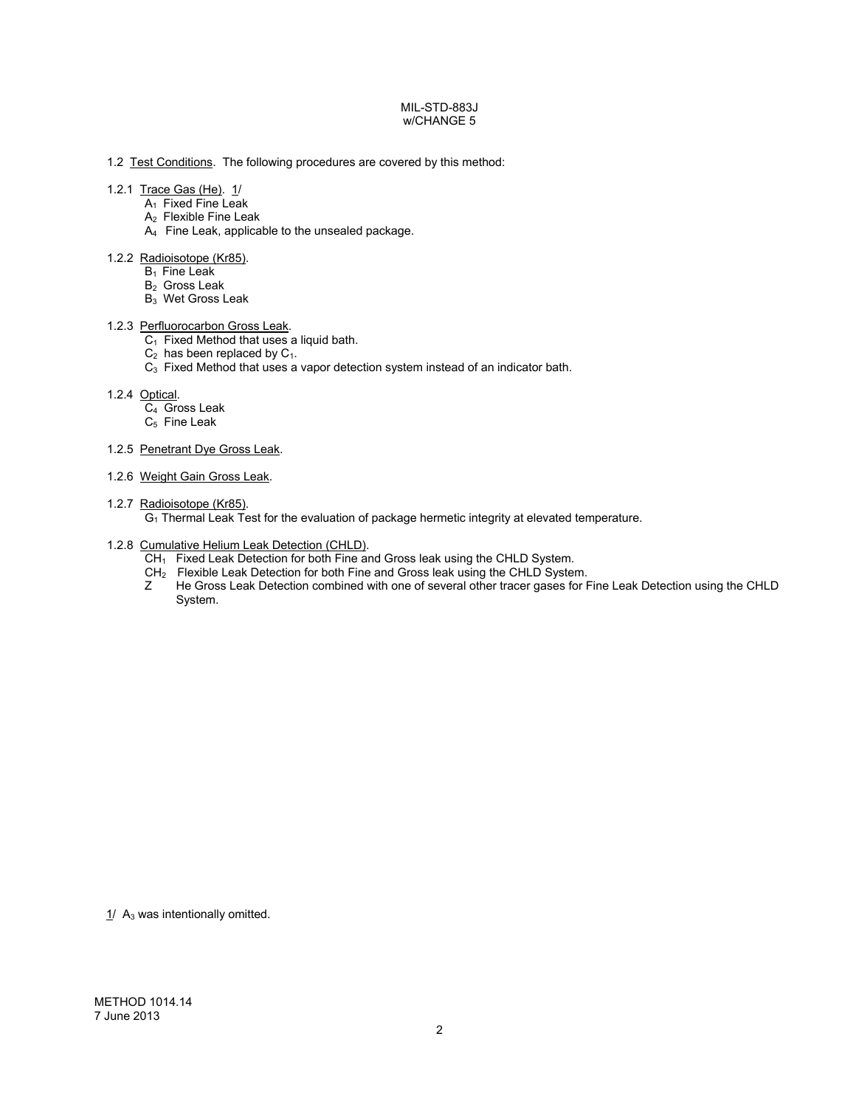# 1.2 Test Conditions. The following procedures are covered by this method:

# 1.2.1 Trace Gas (He). 1/

- A<sub>1</sub> Fixed Fine Leak
- A2 Flexible Fine Leak
- A4 Fine Leak, applicable to the unsealed package.

#### 1.2.2 Radioisotope (Kr85).

- $B_1$  Fine Leak
- B<sub>2</sub> Gross Leak
- B3 Wet Gross Leak

# 1.2.3 Perfluorocarbon Gross Leak.

- $C_1$  Fixed Method that uses a liquid bath.
- $C_2$  has been replaced by  $C_1$ .
- C3 Fixed Method that uses a vapor detection system instead of an indicator bath.

## 1.2.4 Optical.

- $C_4$  Gross Leak
- $C_5$  Fine Leak

## 1.2.5 Penetrant Dye Gross Leak.

1.2.6 Weight Gain Gross Leak.

## 1.2.7 Radioisotope (Kr85).

G1 Thermal Leak Test for the evaluation of package hermetic integrity at elevated temperature.

# 1.2.8 Cumulative Helium Leak Detection (CHLD).

- CH<sub>1</sub> Fixed Leak Detection for both Fine and Gross leak using the CHLD System.
- $CH<sub>2</sub>$  Flexible Leak Detection for both Fine and Gross leak using the CHLD System.
- Z He Gross Leak Detection combined with one of several other tracer gases for Fine Leak Detection using the CHLD System.

 $1/$  A<sub>3</sub> was intentionally omitted.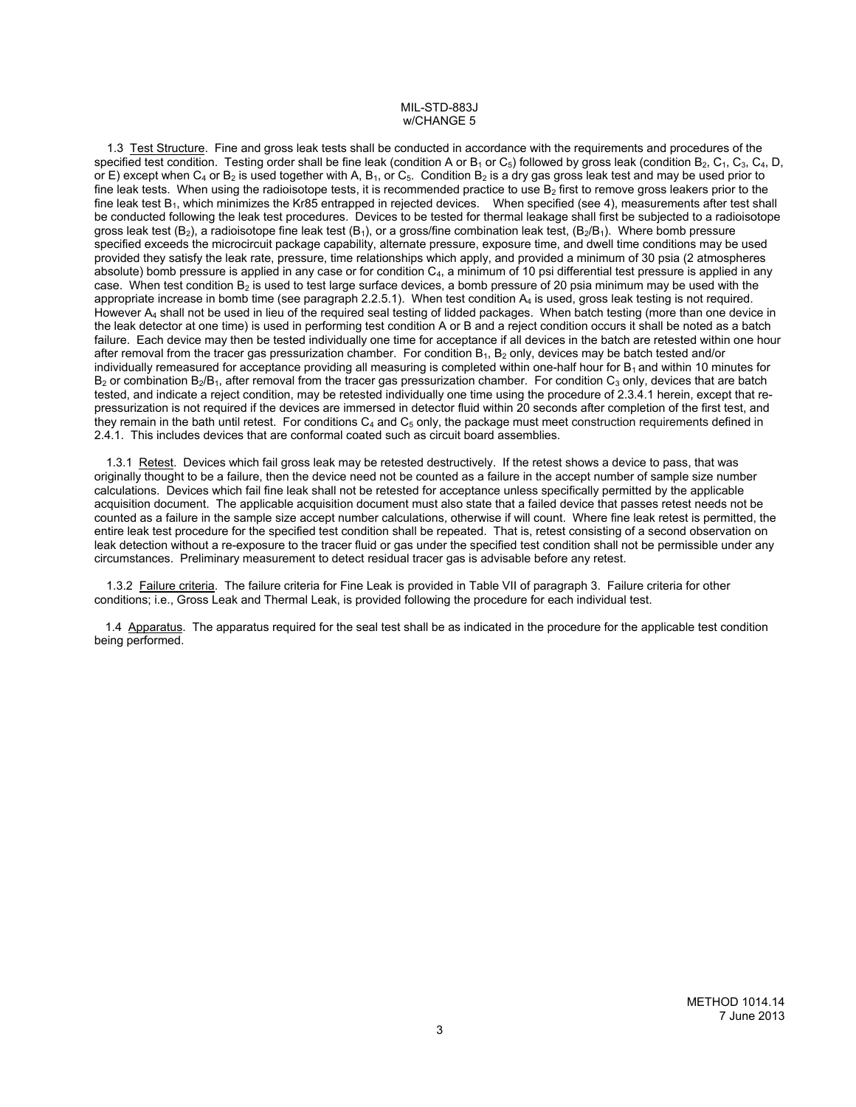1.3 Test Structure. Fine and gross leak tests shall be conducted in accordance with the requirements and procedures of the specified test condition. Testing order shall be fine leak (condition A or  $B_1$  or  $C_5$ ) followed by gross leak (condition  $B_2$ ,  $C_1$ ,  $C_3$ ,  $C_4$ ,  $D$ , or E) except when  $C_4$  or B<sub>2</sub> is used together with A, B<sub>1</sub>, or  $C_5$ . Condition B<sub>2</sub> is a dry gas gross leak test and may be used prior to fine leak tests. When using the radioisotope tests, it is recommended practice to use  $B_2$  first to remove gross leakers prior to the fine leak test  $B_1$ , which minimizes the Kr85 entrapped in rejected devices. When specified (see 4), measurements after test shall be conducted following the leak test procedures. Devices to be tested for thermal leakage shall first be subjected to a radioisotope gross leak test (B<sub>2</sub>), a radioisotope fine leak test (B<sub>1</sub>), or a gross/fine combination leak test, (B<sub>2</sub>/B<sub>1</sub>). Where bomb pressure specified exceeds the microcircuit package capability, alternate pressure, exposure time, and dwell time conditions may be used provided they satisfy the leak rate, pressure, time relationships which apply, and provided a minimum of 30 psia (2 atmospheres absolute) bomb pressure is applied in any case or for condition  $C_4$ , a minimum of 10 psi differential test pressure is applied in any case. When test condition  $B_2$  is used to test large surface devices, a bomb pressure of 20 psia minimum may be used with the appropriate increase in bomb time (see paragraph 2.2.5.1). When test condition  $A_4$  is used, gross leak testing is not required. However A4 shall not be used in lieu of the required seal testing of lidded packages. When batch testing (more than one device in the leak detector at one time) is used in performing test condition A or B and a reject condition occurs it shall be noted as a batch failure. Each device may then be tested individually one time for acceptance if all devices in the batch are retested within one hour after removal from the tracer gas pressurization chamber. For condition  $B_1$ ,  $B_2$  only, devices may be batch tested and/or individually remeasured for acceptance providing all measuring is completed within one-half hour for  $B_1$  and within 10 minutes for  $B_2$  or combination B<sub>2</sub>/B<sub>1</sub>, after removal from the tracer gas pressurization chamber. For condition C<sub>3</sub> only, devices that are batch tested, and indicate a reject condition, may be retested individually one time using the procedure of 2.3.4.1 herein, except that repressurization is not required if the devices are immersed in detector fluid within 20 seconds after completion of the first test, and they remain in the bath until retest. For conditions  $C_4$  and  $C_5$  only, the package must meet construction requirements defined in 2.4.1. This includes devices that are conformal coated such as circuit board assemblies.

1.3.1 Retest. Devices which fail gross leak may be retested destructively. If the retest shows a device to pass, that was originally thought to be a failure, then the device need not be counted as a failure in the accept number of sample size number calculations. Devices which fail fine leak shall not be retested for acceptance unless specifically permitted by the applicable acquisition document. The applicable acquisition document must also state that a failed device that passes retest needs not be counted as a failure in the sample size accept number calculations, otherwise if will count. Where fine leak retest is permitted, the entire leak test procedure for the specified test condition shall be repeated. That is, retest consisting of a second observation on leak detection without a re-exposure to the tracer fluid or gas under the specified test condition shall not be permissible under any circumstances. Preliminary measurement to detect residual tracer gas is advisable before any retest.

 1.3.2 Failure criteria. The failure criteria for Fine Leak is provided in Table VII of paragraph 3. Failure criteria for other conditions; i.e., Gross Leak and Thermal Leak, is provided following the procedure for each individual test.

 1.4 Apparatus. The apparatus required for the seal test shall be as indicated in the procedure for the applicable test condition being performed.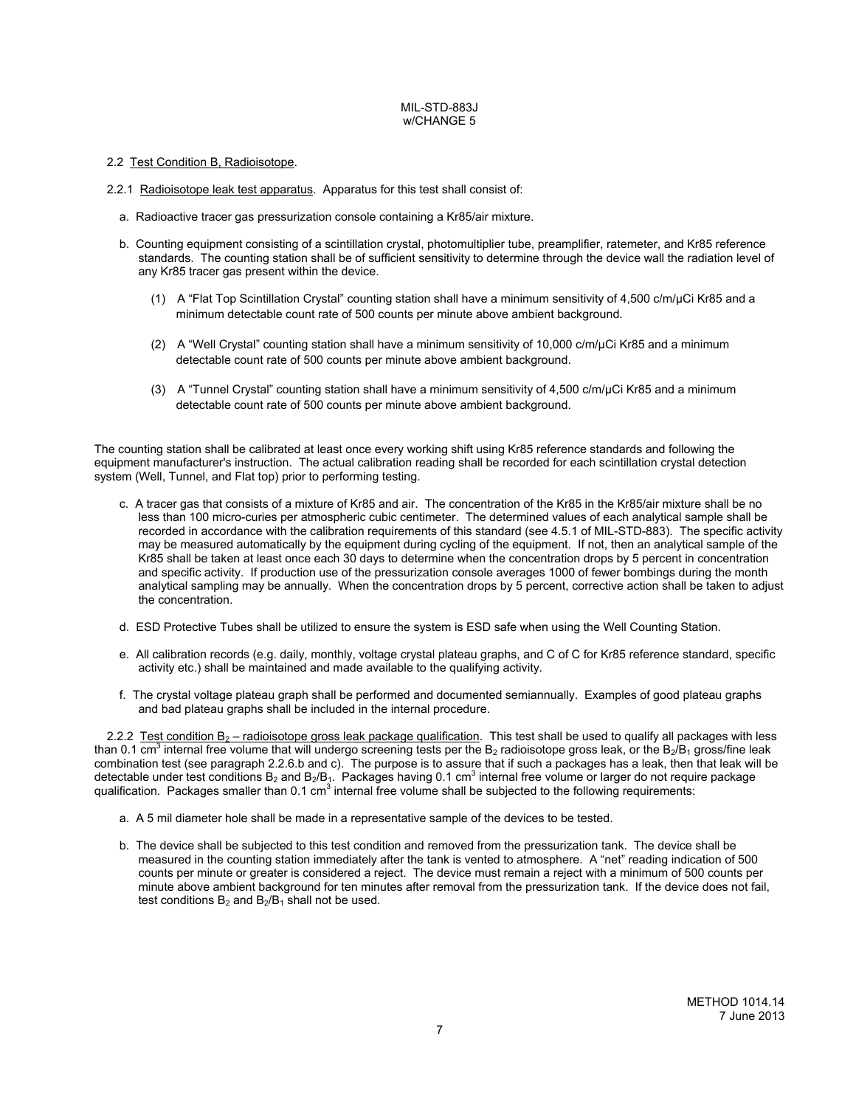# 2.2 Test Condition B, Radioisotope.

- 2.2.1 Radioisotope leak test apparatus. Apparatus for this test shall consist of:
	- a. Radioactive tracer gas pressurization console containing a Kr85/air mixture.
	- b. Counting equipment consisting of a scintillation crystal, photomultiplier tube, preamplifier, ratemeter, and Kr85 reference standards. The counting station shall be of sufficient sensitivity to determine through the device wall the radiation level of any Kr85 tracer gas present within the device.
		- (1) A "Flat Top Scintillation Crystal" counting station shall have a minimum sensitivity of 4,500 c/m/µCi Kr85 and a minimum detectable count rate of 500 counts per minute above ambient background.
		- (2) A "Well Crystal" counting station shall have a minimum sensitivity of 10,000 c/m/µCi Kr85 and a minimum detectable count rate of 500 counts per minute above ambient background.
		- (3) A "Tunnel Crystal" counting station shall have a minimum sensitivity of 4,500 c/m/µCi Kr85 and a minimum detectable count rate of 500 counts per minute above ambient background.

The counting station shall be calibrated at least once every working shift using Kr85 reference standards and following the equipment manufacturer's instruction. The actual calibration reading shall be recorded for each scintillation crystal detection system (Well, Tunnel, and Flat top) prior to performing testing.

- c. A tracer gas that consists of a mixture of Kr85 and air. The concentration of the Kr85 in the Kr85/air mixture shall be no less than 100 micro-curies per atmospheric cubic centimeter. The determined values of each analytical sample shall be recorded in accordance with the calibration requirements of this standard (see 4.5.1 of MIL-STD-883). The specific activity may be measured automatically by the equipment during cycling of the equipment. If not, then an analytical sample of the Kr85 shall be taken at least once each 30 days to determine when the concentration drops by 5 percent in concentration and specific activity. If production use of the pressurization console averages 1000 of fewer bombings during the month analytical sampling may be annually. When the concentration drops by 5 percent, corrective action shall be taken to adjust the concentration.
- d. ESD Protective Tubes shall be utilized to ensure the system is ESD safe when using the Well Counting Station.
- e. All calibration records (e.g. daily, monthly, voltage crystal plateau graphs, and C of C for Kr85 reference standard, specific activity etc.) shall be maintained and made available to the qualifying activity.
- f. The crystal voltage plateau graph shall be performed and documented semiannually. Examples of good plateau graphs and bad plateau graphs shall be included in the internal procedure.

2.2.2 Test condition  $B_2$  – radioisotope gross leak package qualification. This test shall be used to qualify all packages with less than 0.1 cm<sup>3</sup> internal free volume that will undergo screening tests per the B<sub>2</sub> radioisotope gross leak, or the B<sub>2</sub>/B<sub>1</sub> gross/fine leak combination test (see paragraph 2.2.6.b and c). The purpose is to assure that if such a packages has a leak, then that leak will be detectable under test conditions B<sub>2</sub> and B<sub>2</sub>/B<sub>1</sub>. Packages having 0.1 cm<sup>3</sup> internal free volume or larger do not require package qualification. Packages smaller than 0.1 cm<sup>3</sup> internal free volume shall be subjected to the following requirements:

- a. A 5 mil diameter hole shall be made in a representative sample of the devices to be tested.
- b. The device shall be subjected to this test condition and removed from the pressurization tank. The device shall be measured in the counting station immediately after the tank is vented to atmosphere. A "net" reading indication of 500 counts per minute or greater is considered a reject. The device must remain a reject with a minimum of 500 counts per minute above ambient background for ten minutes after removal from the pressurization tank. If the device does not fail, test conditions  $B_2$  and  $B_2/B_1$  shall not be used.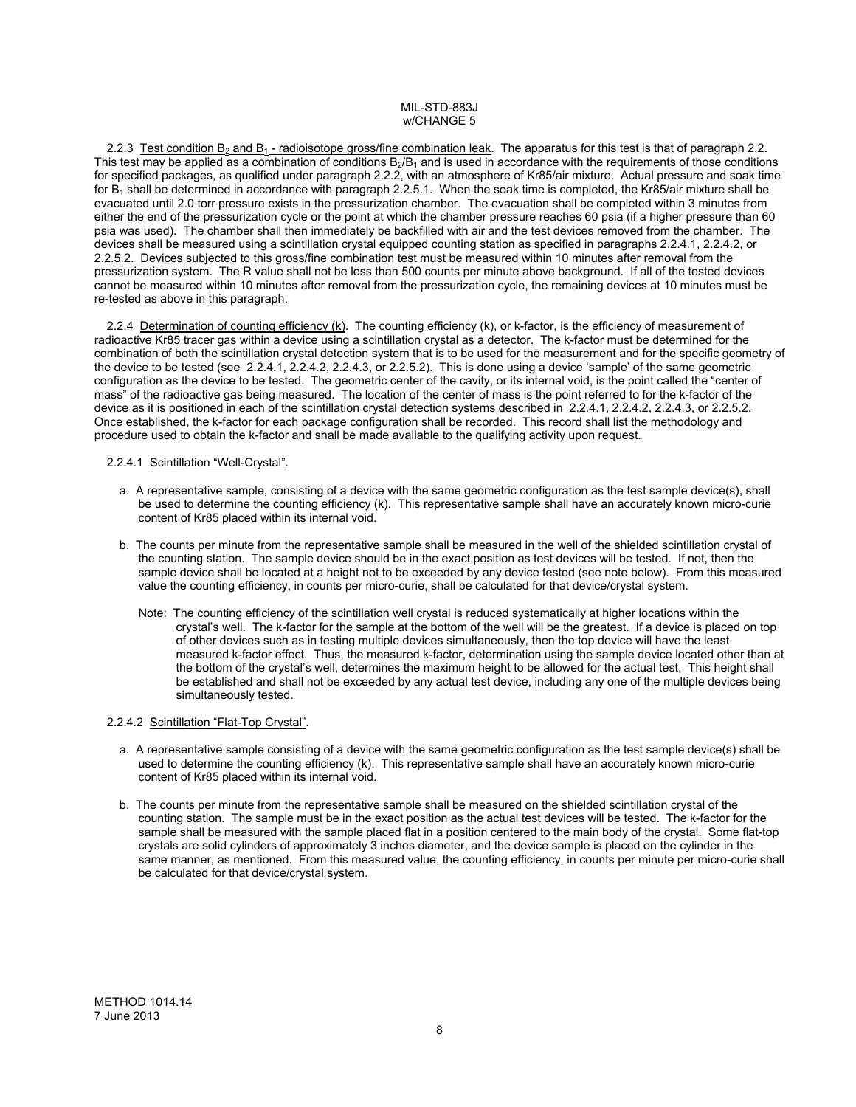2.2.3 Test condition B<sub>2</sub> and B<sub>1</sub> - radioisotope gross/fine combination leak. The apparatus for this test is that of paragraph 2.2. This test may be applied as a combination of conditions  $B_2/B_1$  and is used in accordance with the requirements of those conditions for specified packages, as qualified under paragraph 2.2.2, with an atmosphere of Kr85/air mixture. Actual pressure and soak time for  $B_1$  shall be determined in accordance with paragraph 2.2.5.1. When the soak time is completed, the Kr85/air mixture shall be evacuated until 2.0 torr pressure exists in the pressurization chamber. The evacuation shall be completed within 3 minutes from either the end of the pressurization cycle or the point at which the chamber pressure reaches 60 psia (if a higher pressure than 60 psia was used). The chamber shall then immediately be backfilled with air and the test devices removed from the chamber. The devices shall be measured using a scintillation crystal equipped counting station as specified in paragraphs 2.2.4.1, 2.2.4.2, or 2.2.5.2. Devices subjected to this gross/fine combination test must be measured within 10 minutes after removal from the pressurization system. The R value shall not be less than 500 counts per minute above background. If all of the tested devices cannot be measured within 10 minutes after removal from the pressurization cycle, the remaining devices at 10 minutes must be re-tested as above in this paragraph.

2.2.4 Determination of counting efficiency (k). The counting efficiency (k), or k-factor, is the efficiency of measurement of radioactive Kr85 tracer gas within a device using a scintillation crystal as a detector. The k-factor must be determined for the combination of both the scintillation crystal detection system that is to be used for the measurement and for the specific geometry of the device to be tested (see 2.2.4.1, 2.2.4.2, 2.2.4.3, or 2.2.5.2). This is done using a device 'sample' of the same geometric configuration as the device to be tested. The geometric center of the cavity, or its internal void, is the point called the "center of mass" of the radioactive gas being measured. The location of the center of mass is the point referred to for the k-factor of the device as it is positioned in each of the scintillation crystal detection systems described in 2.2.4.1, 2.2.4.2, 2.2.4.3, or 2.2.5.2. Once established, the k-factor for each package configuration shall be recorded. This record shall list the methodology and procedure used to obtain the k-factor and shall be made available to the qualifying activity upon request.

## 2.2.4.1 Scintillation "Well-Crystal".

- a. A representative sample, consisting of a device with the same geometric configuration as the test sample device(s), shall be used to determine the counting efficiency (k). This representative sample shall have an accurately known micro-curie content of Kr85 placed within its internal void.
- b. The counts per minute from the representative sample shall be measured in the well of the shielded scintillation crystal of the counting station. The sample device should be in the exact position as test devices will be tested. If not, then the sample device shall be located at a height not to be exceeded by any device tested (see note below). From this measured value the counting efficiency, in counts per micro-curie, shall be calculated for that device/crystal system.
	- Note: The counting efficiency of the scintillation well crystal is reduced systematically at higher locations within the crystal's well. The k-factor for the sample at the bottom of the well will be the greatest. If a device is placed on top of other devices such as in testing multiple devices simultaneously, then the top device will have the least measured k-factor effect. Thus, the measured k-factor, determination using the sample device located other than at the bottom of the crystal's well, determines the maximum height to be allowed for the actual test. This height shall be established and shall not be exceeded by any actual test device, including any one of the multiple devices being simultaneously tested.

# 2.2.4.2 Scintillation "Flat-Top Crystal".

- a. A representative sample consisting of a device with the same geometric configuration as the test sample device(s) shall be used to determine the counting efficiency (k). This representative sample shall have an accurately known micro-curie content of Kr85 placed within its internal void.
- b. The counts per minute from the representative sample shall be measured on the shielded scintillation crystal of the counting station. The sample must be in the exact position as the actual test devices will be tested. The k-factor for the sample shall be measured with the sample placed flat in a position centered to the main body of the crystal. Some flat-top crystals are solid cylinders of approximately 3 inches diameter, and the device sample is placed on the cylinder in the same manner, as mentioned. From this measured value, the counting efficiency, in counts per minute per micro-curie shall be calculated for that device/crystal system.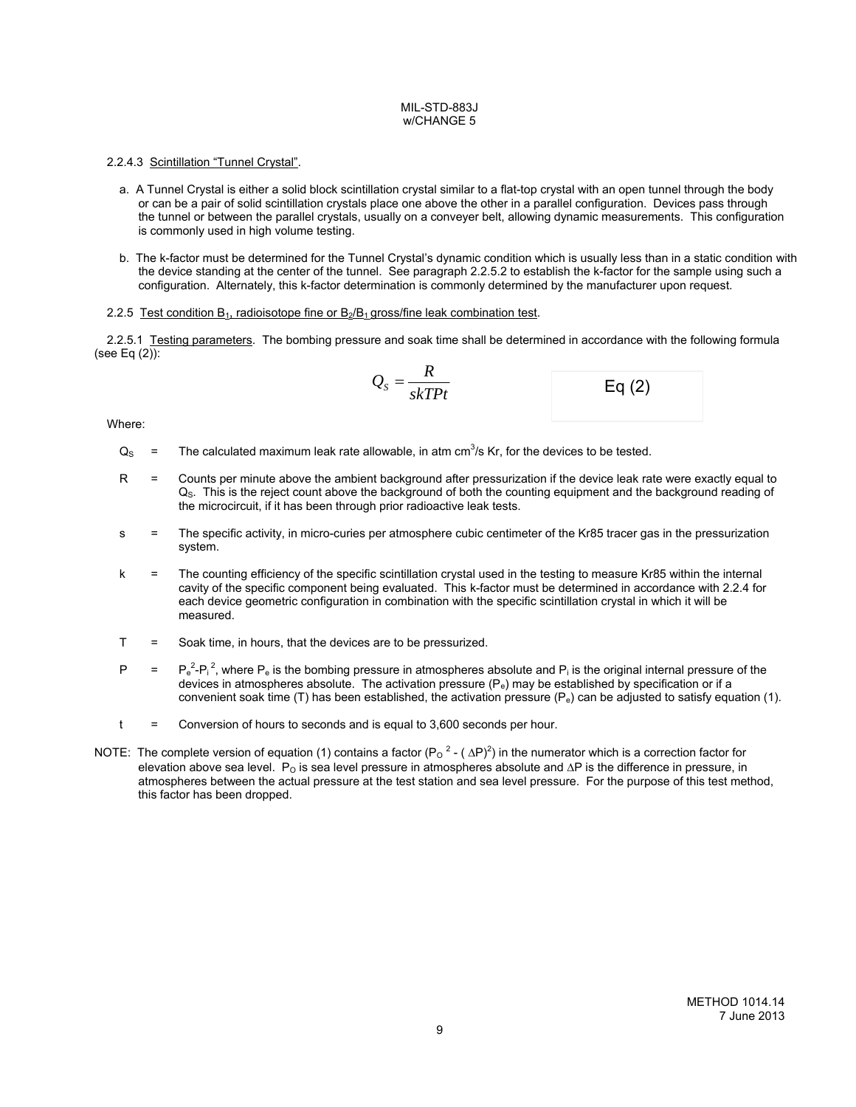# 2.2.4.3 Scintillation "Tunnel Crystal".

- a. A Tunnel Crystal is either a solid block scintillation crystal similar to a flat-top crystal with an open tunnel through the body or can be a pair of solid scintillation crystals place one above the other in a parallel configuration. Devices pass through the tunnel or between the parallel crystals, usually on a conveyer belt, allowing dynamic measurements. This configuration is commonly used in high volume testing.
- b. The k-factor must be determined for the Tunnel Crystal's dynamic condition which is usually less than in a static condition with the device standing at the center of the tunnel. See paragraph 2.2.5.2 to establish the k-factor for the sample using such a configuration. Alternately, this k-factor determination is commonly determined by the manufacturer upon request.

## 2.2.5 Test condition  $B_1$ , radioisotope fine or  $B_2/B_1$  gross/fine leak combination test.

 2.2.5.1 Testing parameters. The bombing pressure and soak time shall be determined in accordance with the following formula (see Eq (2)):

$$
Q_s = \frac{R}{skTPt}
$$
 Eq (2)

Where:

- $Q_S$  = The calculated maximum leak rate allowable, in atm cm<sup>3</sup>/s Kr, for the devices to be tested.
	- R = Counts per minute above the ambient background after pressurization if the device leak rate were exactly equal to  $Q_S$ . This is the reject count above the background of both the counting equipment and the background reading of the microcircuit, if it has been through prior radioactive leak tests.
	- s = The specific activity, in micro-curies per atmosphere cubic centimeter of the Kr85 tracer gas in the pressurization system.
	- k = The counting efficiency of the specific scintillation crystal used in the testing to measure Kr85 within the internal cavity of the specific component being evaluated. This k-factor must be determined in accordance with 2.2.4 for each device geometric configuration in combination with the specific scintillation crystal in which it will be measured.
	- T = Soak time, in hours, that the devices are to be pressurized.
- $P = P_e^2 P_i^2$ , where  $P_e$  is the bombing pressure in atmospheres absolute and  $P_i$  is the original internal pressure of the devices in atmospheres absolute. The activation pressure  $(P_e)$  may be established by specification or if a convenient soak time (T) has been established, the activation pressure  $(P_e)$  can be adjusted to satisfy equation (1).
	- $t =$  Conversion of hours to seconds and is equal to 3,600 seconds per hour.
- NOTE: The complete version of equation (1) contains a factor  $(P_0^2 (\Delta P)^2)$  in the numerator which is a correction factor for elevation above sea level.  $P_0$  is sea level pressure in atmospheres absolute and  $\Delta P$  is the difference in pressure, in atmospheres between the actual pressure at the test station and sea level pressure. For the purpose of this test method, this factor has been dropped.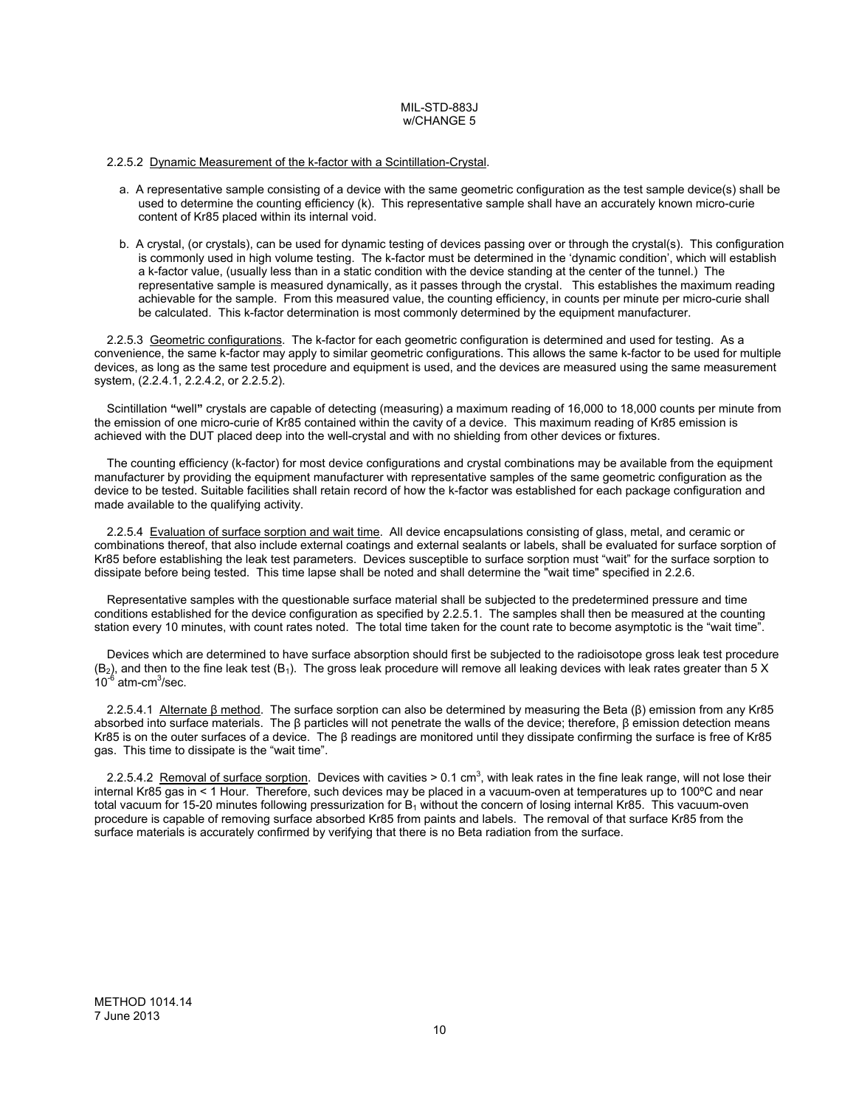## 2.2.5.2 Dynamic Measurement of the k-factor with a Scintillation-Crystal.

- a. A representative sample consisting of a device with the same geometric configuration as the test sample device(s) shall be used to determine the counting efficiency (k). This representative sample shall have an accurately known micro-curie content of Kr85 placed within its internal void.
- b. A crystal, (or crystals), can be used for dynamic testing of devices passing over or through the crystal(s). This configuration is commonly used in high volume testing. The k-factor must be determined in the 'dynamic condition', which will establish a k-factor value, (usually less than in a static condition with the device standing at the center of the tunnel.) The representative sample is measured dynamically, as it passes through the crystal. This establishes the maximum reading achievable for the sample. From this measured value, the counting efficiency, in counts per minute per micro-curie shall be calculated. This k-factor determination is most commonly determined by the equipment manufacturer.

2.2.5.3 Geometric configurations. The k-factor for each geometric configuration is determined and used for testing. As a convenience, the same k-factor may apply to similar geometric configurations. This allows the same k-factor to be used for multiple devices, as long as the same test procedure and equipment is used, and the devices are measured using the same measurement system, (2.2.4.1, 2.2.4.2, or 2.2.5.2).

Scintillation **"**well**"** crystals are capable of detecting (measuring) a maximum reading of 16,000 to 18,000 counts per minute from the emission of one micro-curie of Kr85 contained within the cavity of a device. This maximum reading of Kr85 emission is achieved with the DUT placed deep into the well-crystal and with no shielding from other devices or fixtures.

The counting efficiency (k-factor) for most device configurations and crystal combinations may be available from the equipment manufacturer by providing the equipment manufacturer with representative samples of the same geometric configuration as the device to be tested. Suitable facilities shall retain record of how the k-factor was established for each package configuration and made available to the qualifying activity.

2.2.5.4 Evaluation of surface sorption and wait time. All device encapsulations consisting of glass, metal, and ceramic or combinations thereof, that also include external coatings and external sealants or labels, shall be evaluated for surface sorption of Kr85 before establishing the leak test parameters. Devices susceptible to surface sorption must "wait" for the surface sorption to dissipate before being tested. This time lapse shall be noted and shall determine the "wait time" specified in 2.2.6.

Representative samples with the questionable surface material shall be subjected to the predetermined pressure and time conditions established for the device configuration as specified by 2.2.5.1. The samples shall then be measured at the counting station every 10 minutes, with count rates noted. The total time taken for the count rate to become asymptotic is the "wait time".

Devices which are determined to have surface absorption should first be subjected to the radioisotope gross leak test procedure  $(B_2)$ , and then to the fine leak test  $(B_1)$ . The gross leak procedure will remove all leaking devices with leak rates greater than 5 X  $10^{-6}$  atm-cm<sup>3</sup>/sec.

2.2.5.4.1 Alternate β method. The surface sorption can also be determined by measuring the Beta (β) emission from any Kr85 absorbed into surface materials. The β particles will not penetrate the walls of the device; therefore, β emission detection means Kr85 is on the outer surfaces of a device. The β readings are monitored until they dissipate confirming the surface is free of Kr85 gas. This time to dissipate is the "wait time".

2.2.5.4.2 Removal of surface sorption. Devices with cavities > 0.1 cm<sup>3</sup>, with leak rates in the fine leak range, will not lose their internal Kr85 gas in < 1 Hour. Therefore, such devices may be placed in a vacuum-oven at temperatures up to 100ºC and near total vacuum for 15-20 minutes following pressurization for  $B_1$  without the concern of losing internal Kr85. This vacuum-oven procedure is capable of removing surface absorbed Kr85 from paints and labels. The removal of that surface Kr85 from the surface materials is accurately confirmed by verifying that there is no Beta radiation from the surface.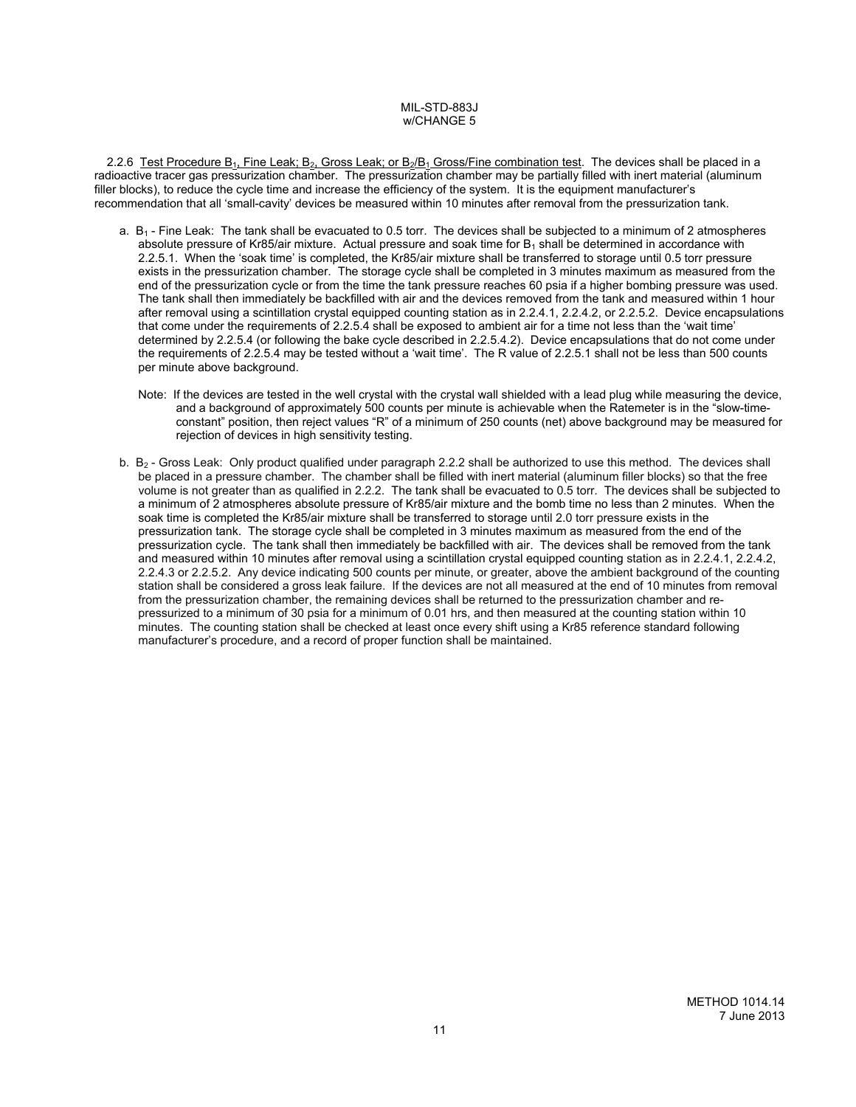2.2.6 Test Procedure  $B_1$ , Fine Leak;  $B_2$ , Gross Leak; or  $B_2/B_1$  Gross/Fine combination test. The devices shall be placed in a radioactive tracer gas pressurization chamber. The pressurization chamber may be partially filled with inert material (aluminum filler blocks), to reduce the cycle time and increase the efficiency of the system. It is the equipment manufacturer's recommendation that all 'small-cavity' devices be measured within 10 minutes after removal from the pressurization tank.

- a. B<sub>1</sub> Fine Leak: The tank shall be evacuated to 0.5 torr. The devices shall be subjected to a minimum of 2 atmospheres absolute pressure of Kr85/air mixture. Actual pressure and soak time for  $B_1$  shall be determined in accordance with 2.2.5.1. When the 'soak time' is completed, the Kr85/air mixture shall be transferred to storage until 0.5 torr pressure exists in the pressurization chamber. The storage cycle shall be completed in 3 minutes maximum as measured from the end of the pressurization cycle or from the time the tank pressure reaches 60 psia if a higher bombing pressure was used. The tank shall then immediately be backfilled with air and the devices removed from the tank and measured within 1 hour after removal using a scintillation crystal equipped counting station as in 2.2.4.1, 2.2.4.2, or 2.2.5.2. Device encapsulations that come under the requirements of 2.2.5.4 shall be exposed to ambient air for a time not less than the 'wait time' determined by 2.2.5.4 (or following the bake cycle described in 2.2.5.4.2). Device encapsulations that do not come under the requirements of 2.2.5.4 may be tested without a 'wait time'. The R value of 2.2.5.1 shall not be less than 500 counts per minute above background.
	- Note: If the devices are tested in the well crystal with the crystal wall shielded with a lead plug while measuring the device, and a background of approximately 500 counts per minute is achievable when the Ratemeter is in the "slow-timeconstant" position, then reject values "R" of a minimum of 250 counts (net) above background may be measured for rejection of devices in high sensitivity testing.
- b. B2 Gross Leak: Only product qualified under paragraph 2.2.2 shall be authorized to use this method. The devices shall be placed in a pressure chamber. The chamber shall be filled with inert material (aluminum filler blocks) so that the free volume is not greater than as qualified in 2.2.2. The tank shall be evacuated to 0.5 torr. The devices shall be subjected to a minimum of 2 atmospheres absolute pressure of Kr85/air mixture and the bomb time no less than 2 minutes. When the soak time is completed the Kr85/air mixture shall be transferred to storage until 2.0 torr pressure exists in the pressurization tank. The storage cycle shall be completed in 3 minutes maximum as measured from the end of the pressurization cycle. The tank shall then immediately be backfilled with air. The devices shall be removed from the tank and measured within 10 minutes after removal using a scintillation crystal equipped counting station as in 2.2.4.1, 2.2.4.2, 2.2.4.3 or 2.2.5.2. Any device indicating 500 counts per minute, or greater, above the ambient background of the counting station shall be considered a gross leak failure. If the devices are not all measured at the end of 10 minutes from removal from the pressurization chamber, the remaining devices shall be returned to the pressurization chamber and repressurized to a minimum of 30 psia for a minimum of 0.01 hrs, and then measured at the counting station within 10 minutes. The counting station shall be checked at least once every shift using a Kr85 reference standard following manufacturer's procedure, and a record of proper function shall be maintained.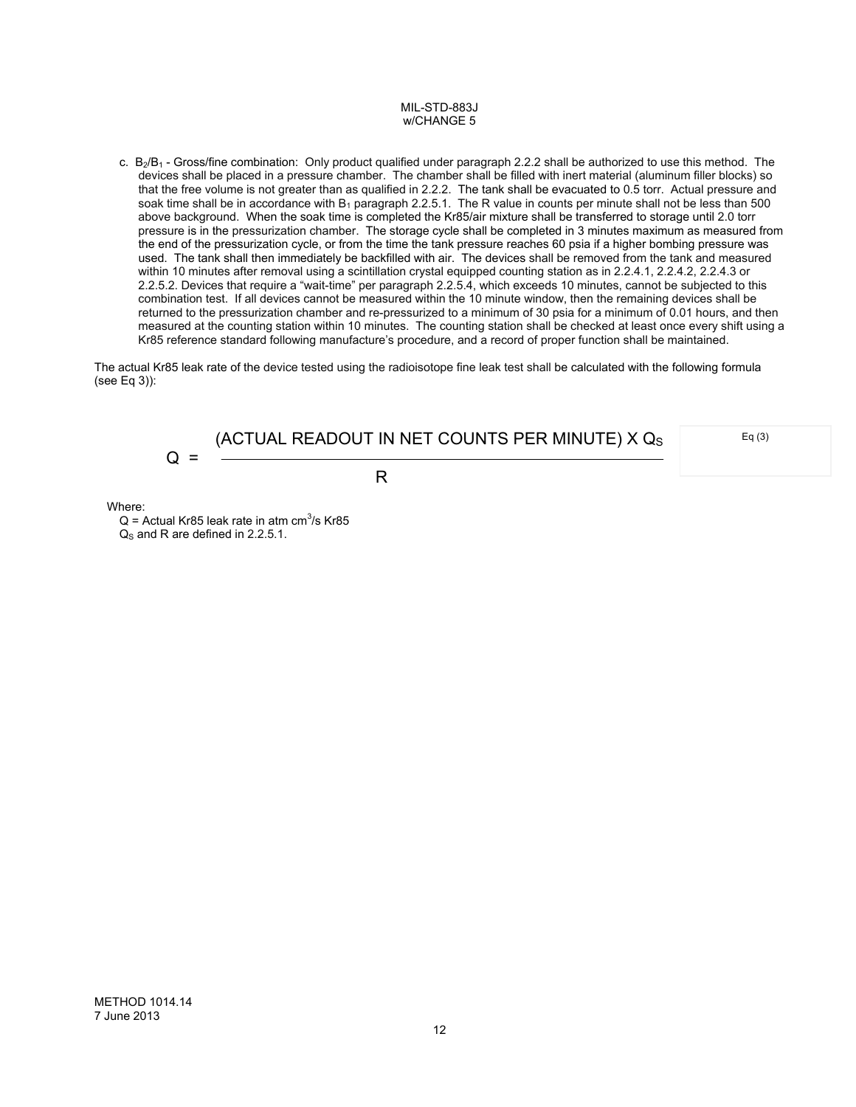c.  $B_2/B_1$  - Gross/fine combination: Only product qualified under paragraph 2.2.2 shall be authorized to use this method. The devices shall be placed in a pressure chamber. The chamber shall be filled with inert material (aluminum filler blocks) so that the free volume is not greater than as qualified in 2.2.2. The tank shall be evacuated to 0.5 torr. Actual pressure and soak time shall be in accordance with  $B_1$  paragraph 2.2.5.1. The R value in counts per minute shall not be less than 500 above background.When the soak time is completed the Kr85/air mixture shall be transferred to storage until 2.0 torr pressure is in the pressurization chamber. The storage cycle shall be completed in 3 minutes maximum as measured from the end of the pressurization cycle, or from the time the tank pressure reaches 60 psia if a higher bombing pressure was used. The tank shall then immediately be backfilled with air. The devices shall be removed from the tank and measured within 10 minutes after removal using a scintillation crystal equipped counting station as in 2.2.4.1, 2.2.4.2, 2.2.4.3 or 2.2.5.2. Devices that require a "wait-time" per paragraph 2.2.5.4, which exceeds 10 minutes, cannot be subjected to this combination test.If all devices cannot be measured within the 10 minute window, then the remaining devices shall be returned to the pressurization chamber and re-pressurized to a minimum of 30 psia for a minimum of 0.01 hours, and then measured at the counting station within 10 minutes. The counting station shall be checked at least once every shift using a Kr85 reference standard following manufacture's procedure, and a record of proper function shall be maintained.

The actual Kr85 leak rate of the device tested using the radioisotope fine leak test shall be calculated with the following formula (see Eq 3)):

$$
Q = \frac{(ACTUAL READOUT IN NET COUNTS PER MINUTE) \times Q_S}{R}
$$

Eq (3)

Where:

 $Q =$  Actual Kr85 leak rate in atm cm<sup>3</sup>/s Kr85  $Q<sub>s</sub>$  and R are defined in 2.2.5.1.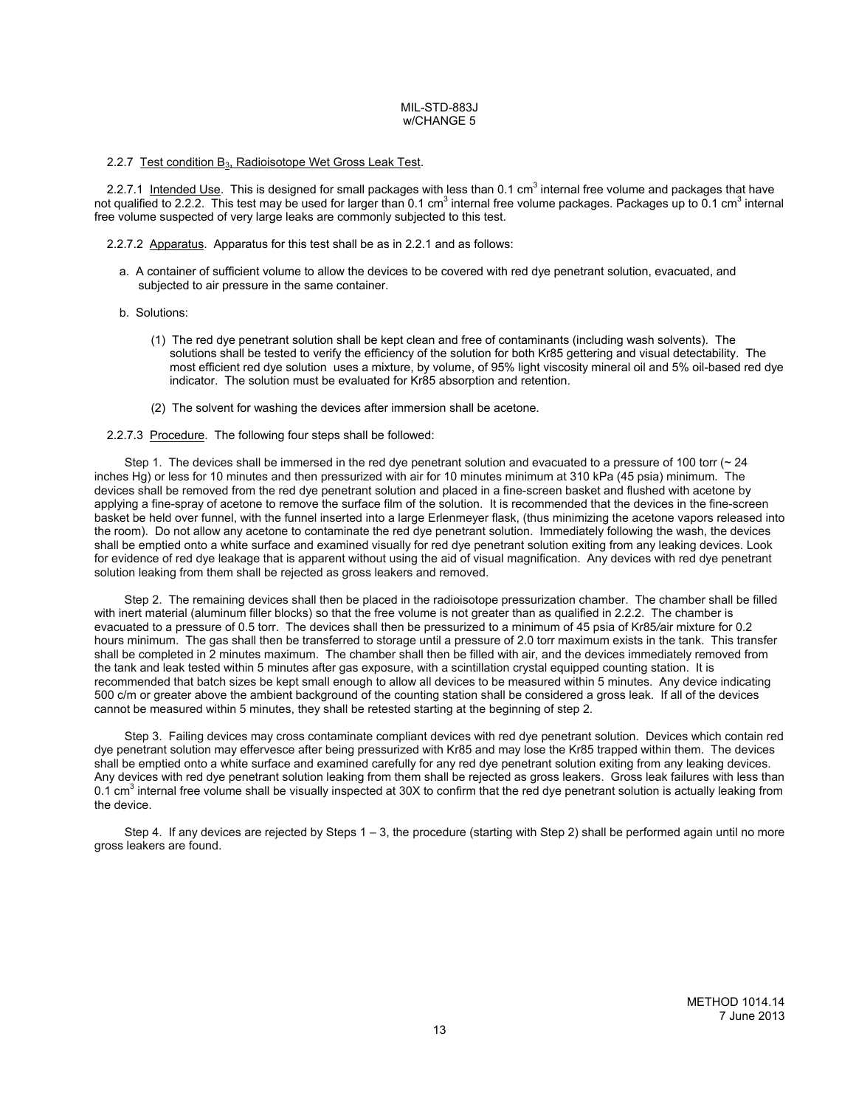#### 2.2.7 Test condition  $B_3$ , Radioisotope Wet Gross Leak Test.

2.2.7.1 Intended Use. This is designed for small packages with less than 0.1 cm<sup>3</sup> internal free volume and packages that have not qualified to 2.2.2. This test may be used for larger than 0.1 cm<sup>3</sup> internal free volume packages. Packages up to 0.1 cm<sup>3</sup> internal free volume suspected of very large leaks are commonly subjected to this test.

2.2.7.2 Apparatus. Apparatus for this test shall be as in 2.2.1 and as follows:

- a. A container of sufficient volume to allow the devices to be covered with red dye penetrant solution, evacuated, and subjected to air pressure in the same container.
- b. Solutions:
	- (1) The red dye penetrant solution shall be kept clean and free of contaminants (including wash solvents). The solutions shall be tested to verify the efficiency of the solution for both Kr85 gettering and visual detectability. The most efficient red dye solution uses a mixture, by volume, of 95% light viscosity mineral oil and 5% oil-based red dye indicator. The solution must be evaluated for Kr85 absorption and retention.
	- (2) The solvent for washing the devices after immersion shall be acetone.
- 2.2.7.3 Procedure. The following four steps shall be followed:

Step 1. The devices shall be immersed in the red dye penetrant solution and evacuated to a pressure of 100 torr (~24 inches Hg) or less for 10 minutes and then pressurized with air for 10 minutes minimum at 310 kPa (45 psia) minimum. The devices shall be removed from the red dye penetrant solution and placed in a fine-screen basket and flushed with acetone by applying a fine-spray of acetone to remove the surface film of the solution. It is recommended that the devices in the fine-screen basket be held over funnel, with the funnel inserted into a large Erlenmeyer flask, (thus minimizing the acetone vapors released into the room). Do not allow any acetone to contaminate the red dye penetrant solution. Immediately following the wash, the devices shall be emptied onto a white surface and examined visually for red dye penetrant solution exiting from any leaking devices. Look for evidence of red dye leakage that is apparent without using the aid of visual magnification. Any devices with red dye penetrant solution leaking from them shall be rejected as gross leakers and removed.

 Step 2. The remaining devices shall then be placed in the radioisotope pressurization chamber. The chamber shall be filled with inert material (aluminum filler blocks) so that the free volume is not greater than as qualified in 2.2.2. The chamber is evacuated to a pressure of 0.5 torr. The devices shall then be pressurized to a minimum of 45 psia of Kr85*/*air mixture for 0.2 hours minimum. The gas shall then be transferred to storage until a pressure of 2.0 torr maximum exists in the tank. This transfer shall be completed in 2 minutes maximum. The chamber shall then be filled with air, and the devices immediately removed from the tank and leak tested within 5 minutes after gas exposure, with a scintillation crystal equipped counting station. It is recommended that batch sizes be kept small enough to allow all devices to be measured within 5 minutes. Any device indicating 500 c/m or greater above the ambient background of the counting station shall be considered a gross leak. If all of the devices cannot be measured within 5 minutes, they shall be retested starting at the beginning of step 2.

 Step 3. Failing devices may cross contaminate compliant devices with red dye penetrant solution. Devices which contain red dye penetrant solution may effervesce after being pressurized with Kr85 and may lose the Kr85 trapped within them. The devices shall be emptied onto a white surface and examined carefully for any red dye penetrant solution exiting from any leaking devices. Any devices with red dye penetrant solution leaking from them shall be rejected as gross leakers. Gross leak failures with less than 0.1 cm<sup>3</sup> internal free volume shall be visually inspected at 30X to confirm that the red dye penetrant solution is actually leaking from the device.

Step 4. If any devices are rejected by Steps  $1 - 3$ , the procedure (starting with Step 2) shall be performed again until no more gross leakers are found.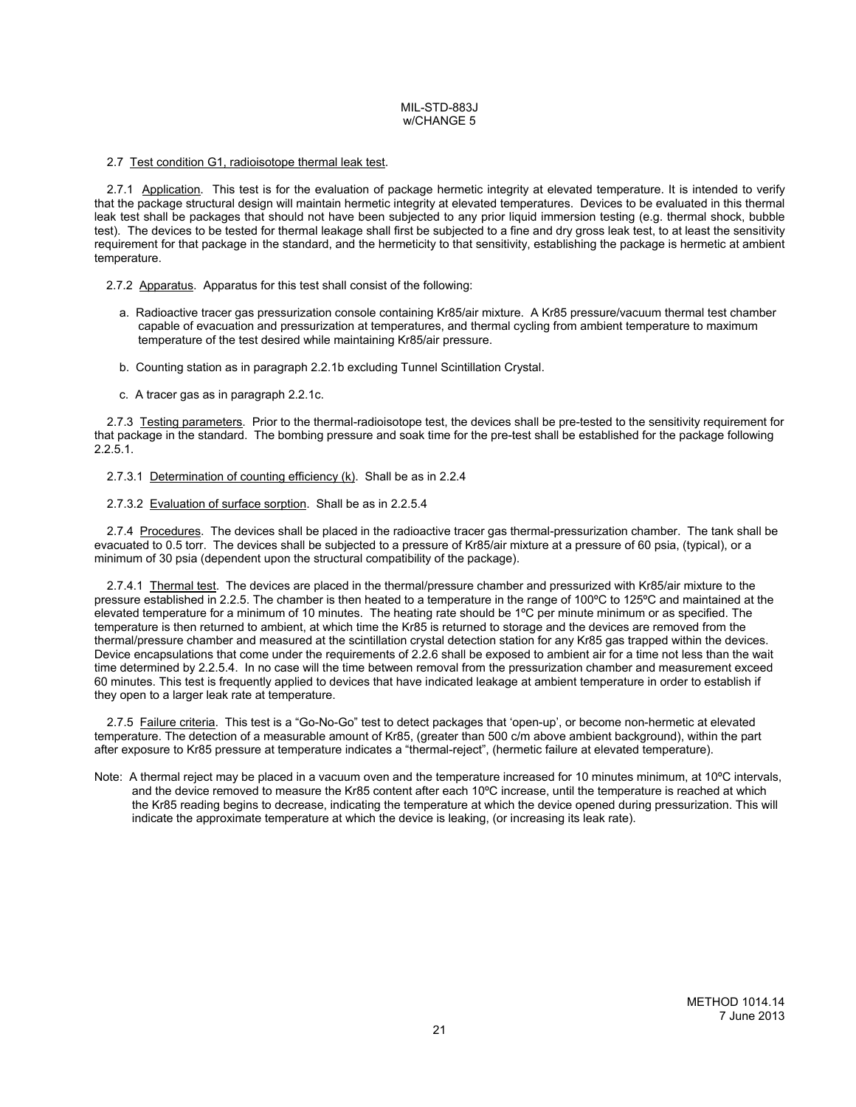## 2.7 Test condition G1, radioisotope thermal leak test.

2.7.1 Application. This test is for the evaluation of package hermetic integrity at elevated temperature. It is intended to verify that the package structural design will maintain hermetic integrity at elevated temperatures. Devices to be evaluated in this thermal leak test shall be packages that should not have been subjected to any prior liquid immersion testing (e.g. thermal shock, bubble test). The devices to be tested for thermal leakage shall first be subjected to a fine and dry gross leak test, to at least the sensitivity requirement for that package in the standard, and the hermeticity to that sensitivity, establishing the package is hermetic at ambient temperature.

2.7.2 Apparatus. Apparatus for this test shall consist of the following:

- a. Radioactive tracer gas pressurization console containing Kr85/air mixture. A Kr85 pressure/vacuum thermal test chamber capable of evacuation and pressurization at temperatures, and thermal cycling from ambient temperature to maximum temperature of the test desired while maintaining Kr85/air pressure.
- b. Counting station as in paragraph 2.2.1b excluding Tunnel Scintillation Crystal.
- c. A tracer gas as in paragraph 2.2.1c.

2.7.3 Testing parameters. Prior to the thermal-radioisotope test, the devices shall be pre-tested to the sensitivity requirement for that package in the standard. The bombing pressure and soak time for the pre-test shall be established for the package following 2.2.5.1.

2.7.3.1 Determination of counting efficiency (k). Shall be as in 2.2.4

2.7.3.2 Evaluation of surface sorption. Shall be as in 2.2.5.4

2.7.4 Procedures. The devices shall be placed in the radioactive tracer gas thermal-pressurization chamber. The tank shall be evacuated to 0.5 torr. The devices shall be subjected to a pressure of Kr85/air mixture at a pressure of 60 psia, (typical), or a minimum of 30 psia (dependent upon the structural compatibility of the package).

2.7.4.1 Thermal test. The devices are placed in the thermal/pressure chamber and pressurized with Kr85/air mixture to the pressure established in 2.2.5. The chamber is then heated to a temperature in the range of 100ºC to 125ºC and maintained at the elevated temperature for a minimum of 10 minutes. The heating rate should be 1ºC per minute minimum or as specified. The temperature is then returned to ambient, at which time the Kr85 is returned to storage and the devices are removed from the thermal/pressure chamber and measured at the scintillation crystal detection station for any Kr85 gas trapped within the devices. Device encapsulations that come under the requirements of 2.2.6 shall be exposed to ambient air for a time not less than the wait time determined by 2.2.5.4. In no case will the time between removal from the pressurization chamber and measurement exceed 60 minutes. This test is frequently applied to devices that have indicated leakage at ambient temperature in order to establish if they open to a larger leak rate at temperature.

2.7.5 Failure criteria. This test is a "Go-No-Go" test to detect packages that 'open-up', or become non-hermetic at elevated temperature. The detection of a measurable amount of Kr85, (greater than 500 c/m above ambient background), within the part after exposure to Kr85 pressure at temperature indicates a "thermal-reject", (hermetic failure at elevated temperature).

Note: A thermal reject may be placed in a vacuum oven and the temperature increased for 10 minutes minimum, at 10°C intervals, and the device removed to measure the Kr85 content after each 10ºC increase, until the temperature is reached at which the Kr85 reading begins to decrease, indicating the temperature at which the device opened during pressurization. This will indicate the approximate temperature at which the device is leaking, (or increasing its leak rate).